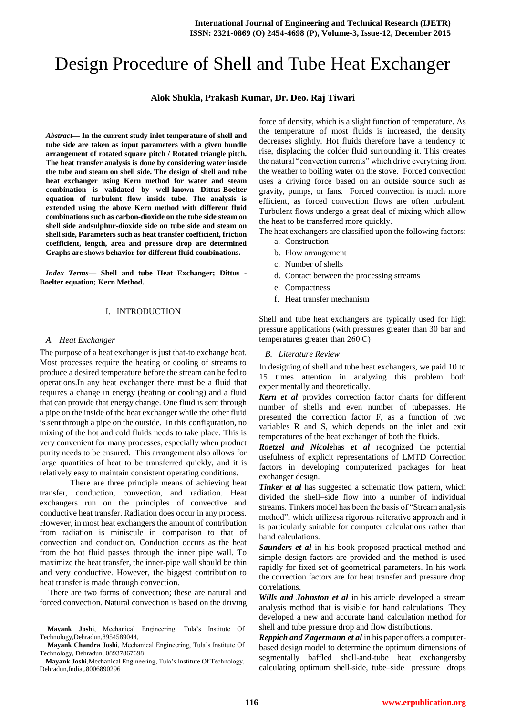# Design Procedure of Shell and Tube Heat Exchanger

# **Alok Shukla, Prakash Kumar, Dr. Deo. Raj Tiwari**

*Abstract—* **In the current study inlet temperature of shell and tube side are taken as input parameters with a given bundle arrangement of rotated square pitch / Rotated triangle pitch. The heat transfer analysis is done by considering water inside the tube and steam on shell side. The design of shell and tube heat exchanger using Kern method for water and steam combination is validated by well-known Dittus-Boelter equation of turbulent flow inside tube. The analysis is extended using the above Kern method with different fluid combinations such as carbon-dioxide on the tube side steam on shell side andsulphur-dioxide side on tube side and steam on shell side, Parameters such as heat transfer coefficient, friction coefficient, length, area and pressure drop are determined Graphs are shows behavior for different fluid combinations.**

*Index Terms***— Shell and tube Heat Exchanger; Dittus - Boelter equation; Kern Method.**

#### I. INTRODUCTION

#### *A. Heat Exchanger*

The purpose of a heat exchanger is just that-to exchange heat. Most processes require the heating or cooling of streams to produce a desired temperature before the stream can be fed to operations.In any heat exchanger there must be a fluid that requires a change in energy (heating or cooling) and a fluid that can provide that energy change. One fluid is sent through a pipe on the inside of the heat exchanger while the other fluid is sent through a pipe on the outside. In this configuration, no mixing of the hot and cold fluids needs to take place. This is very convenient for many processes, especially when product purity needs to be ensured. This arrangement also allows for large quantities of heat to be transferred quickly, and it is relatively easy to maintain consistent operating conditions.

There are three principle means of achieving heat transfer, conduction, convection, and radiation. Heat exchangers run on the principles of convective and conductive heat transfer. Radiation does occur in any process. However, in most heat exchangers the amount of contribution from radiation is miniscule in comparison to that of convection and conduction. Conduction occurs as the heat from the hot fluid passes through the inner pipe wall. To maximize the heat transfer, the inner-pipe wall should be thin and very conductive. However, the biggest contribution to heat transfer is made through convection.

There are two forms of convection; these are natural and forced convection. Natural convection is based on the driving force of density, which is a slight function of temperature. As the temperature of most fluids is increased, the density decreases slightly. Hot fluids therefore have a tendency to rise, displacing the colder fluid surrounding it. This creates the natural "convection currents" which drive everything from the weather to boiling water on the stove. Forced convection uses a driving force based on an outside source such as gravity, pumps, or fans. Forced convection is much more efficient, as forced convection flows are often turbulent. Turbulent flows undergo a great deal of mixing which allow the heat to be transferred more quickly.

The heat exchangers are classified upon the following factors:

- a. Construction
- b. Flow arrangement
- c. Number of shells
- d. Contact between the processing streams
- e. Compactness
- f. Heat transfer mechanism

Shell and tube heat exchangers are typically used for high pressure applications (with pressures greater than 30 bar and temperatures greater than  $260 \text{ C}$ )

#### *B. Literature Review*

In designing of shell and tube heat exchangers, we paid 10 to 15 times attention in analyzing this problem both experimentally and theoretically.

*Kern et al* provides correction factor charts for different number of shells and even number of tubepasses. He presented the correction factor F, as a function of two variables R and S, which depends on the inlet and exit temperatures of the heat exchanger of both the fluids.

*Roetzel and Nicole*has *et al* recognized the potential usefulness of explicit representations of LMTD Correction factors in developing computerized packages for heat exchanger design.

*Tinker et al* has suggested a schematic flow pattern, which divided the shell–side flow into a number of individual streams. Tinkers model has been the basis of "Stream analysis method", which utilizesa rigorous reiterative approach and it is particularly suitable for computer calculations rather than hand calculations.

Saunders et al in his book proposed practical method and simple design factors are provided and the method is used rapidly for fixed set of geometrical parameters. In his work the correction factors are for heat transfer and pressure drop correlations.

*Wills and Johnston et al* in his article developed a stream analysis method that is visible for hand calculations. They developed a new and accurate hand calculation method for shell and tube pressure drop and flow distributions.

*Reppich and Zagermann et al* in his paper offers a computerbased design model to determine the optimum dimensions of segmentally baffled shell-and-tube heat exchangersby calculating optimum shell-side, tube–side pressure drops

**Mayank Joshi**, Mechanical Engineering, Tula's Institute Of Technology,Dehradun,8954589044,

**Mayank Chandra Joshi**, Mechanical Engineering, Tula's Institute Of Technology, Dehradun, 08937867698

**Mayank Joshi**,Mechanical Engineering, Tula's Institute Of Technology, Dehradun,India,.8006890296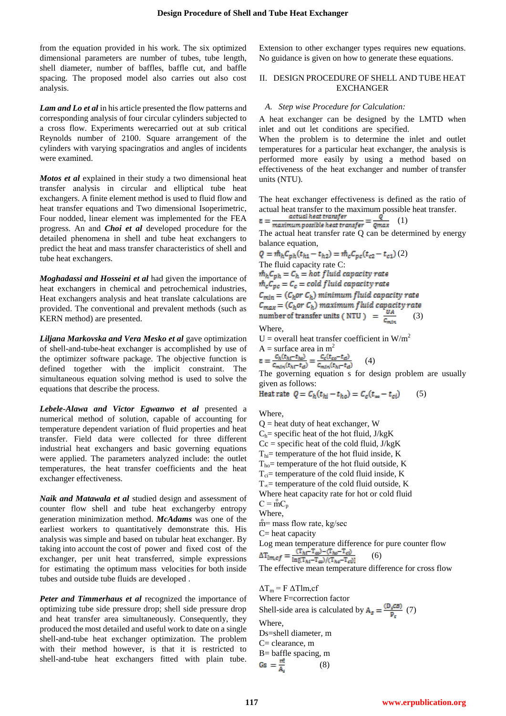×

from the equation provided in his work. The six optimized dimensional parameters are number of tubes, tube length, shell diameter, number of baffles, baffle cut, and baffle spacing. The proposed model also carries out also cost analysis.

Lam and Lo et al in his article presented the flow patterns and corresponding analysis of four circular cylinders subjected to a cross flow. Experiments werecarried out at sub critical Reynolds number of 2100. Square arrangement of the cylinders with varying spacingratios and angles of incidents were examined.

*Motos et al* explained in their study a two dimensional heat transfer analysis in circular and elliptical tube heat exchangers. A finite element method is used to fluid flow and heat transfer equations and Two dimensional Isoperimetric, Four nodded, linear element was implemented for the FEA progress. An and *Choi et al* developed procedure for the detailed phenomena in shell and tube heat exchangers to predict the heat and mass transfer characteristics of shell and tube heat exchangers.

*Moghadassi and Hosseini et al* had given the importance of heat exchangers in chemical and petrochemical industries, Heat exchangers analysis and heat translate calculations are provided. The conventional and prevalent methods (such as KERN method) are presented.

*Liljana Markovska and Vera Mesko et al* gave optimization of shell-and-tube-heat exchanger is accomplished by use of the optimizer software package. The objective function is defined together with the implicit constraint. The simultaneous equation solving method is used to solve the equations that describe the process.

*Lebele-Alawa and Victor Egwanwo et al* presented a numerical method of solution, capable of accounting for temperature dependent variation of fluid properties and heat transfer. Field data were collected for three different industrial heat exchangers and basic governing equations were applied. The parameters analyzed include: the outlet temperatures, the heat transfer coefficients and the heat exchanger effectiveness.

*Naik and Matawala et al* studied design and assessment of counter flow shell and tube heat exchangerby entropy generation minimization method. *McAdams* was one of the earliest workers to quantitatively demonstrate this. His analysis was simple and based on tubular heat exchanger. By taking into account the cost of power and fixed cost of the exchanger, per unit heat transferred, simple expressions for estimating the optimum mass velocities for both inside tubes and outside tube fluids are developed .

*Peter and Timmerhaus et al* recognized the importance of optimizing tube side pressure drop; shell side pressure drop and heat transfer area simultaneously. Consequently, they produced the most detailed and useful work to date on a single shell-and-tube heat exchanger optimization. The problem with their method however, is that it is restricted to shell-and-tube heat exchangers fitted with plain tube. Extension to other exchanger types requires new equations. No guidance is given on how to generate these equations.

# II. DESIGN PROCEDURE OF SHELL AND TUBE HEAT EXCHANGER

#### *A. Step wise Procedure for Calculation:*

A heat exchanger can be designed by the LMTD when inlet and out let conditions are specified.

When the problem is to determine the inlet and outlet temperatures for a particular heat exchanger, the analysis is performed more easily by using a method based on effectiveness of the heat exchanger and number of transfer units (NTU).

The heat exchanger effectiveness is defined as the ratio of actual heat transfer to the maximum possible heat transfer.<br>  $\sigma$  (1)

$$
= \frac{u_{\text{cutual}}}{\text{maximum possible heat transfer}} = \frac{q}{\text{Qmax}} \quad (1)
$$

The actual heat transfer rate Q can be determined by energy balance equation,

$$
Q = \hat{m}_h C_{ph}(t_{h1} - t_{h2}) = \hat{m}_c C_{pc}(t_{c2} - t_{c1}) (2)
$$
  
The fluid capacity rate C:  

$$
\hat{m}_h C_{ph} = C_h = hot fluid capacity rate
$$
  

$$
\hat{m}_c C_{pc} = C_c = cold fluid capacity rate
$$
  

$$
C_{min} = (C_h or C_h) minimum fluid capacity rate
$$
  

$$
C_{max} = (C_h or C_h) maximum fluid capacity rate
$$
  
number of transfer units (NTU) =  $\frac{UA}{C_{min}}$  (3)  
Where,

U = overall heat transfer coefficient in  $W/m^2$ A = surface area in m<sup>2</sup><br> $\varepsilon = \frac{c_h(t_{h1} - t_{ho})}{c_{mtn}(t_{h1} - t_d)} = \frac{c_c(t_{co} - t_d)}{c_{mtn}(t_{h1} - t_d)}$ 

 $(4)$ 

The governing equation s for design problem are usually given as follows:

Heat rate 
$$
Q = C_h(t_{hi} - t_{ho}) = C_c(t_{\infty} - t_{ci})
$$
 (5)

Where,

 $Q =$  heat duty of heat exchanger, W  $C_h$ = specific heat of the hot fluid, J/kgK  $Cc = specific heat of the cold fluid, J/kgK$  $T<sub>hi</sub>=$  temperature of the hot fluid inside, K  $T_{ho}$ = temperature of the hot fluid outside, K  $T_{ci}$ = temperature of the cold fluid inside, K  $T_{\infty}$ = temperature of the cold fluid outside, K Where heat capacity rate for hot or cold fluid  $C = \text{mC}_p$ Where,  $m =$  mass flow rate, kg/sec  $C=$  heat capacity Log mean temperature difference for pure counter flow<br>  $\Delta T_{im,cf} = \frac{(T_{ht}-T_{co})-(T_{ho}-T_{cl})}{\ln[(T_{ht}-T_{co})/(T_{ho}-T_{cl})]}$  (6) (6) The effective mean temperature difference for cross flow  $\Delta T_m$  = F  $\Delta T$ lm, cf Where F=correction factor

Shell-side area is calculated by  $A_{g} = \frac{(D_{g}CB)}{D_{g}}$  (7) Where, Ds=shell diameter, m C= clearance, m B= baffle spacing, m  $Gs = \frac{m!}{\Delta}$ (8)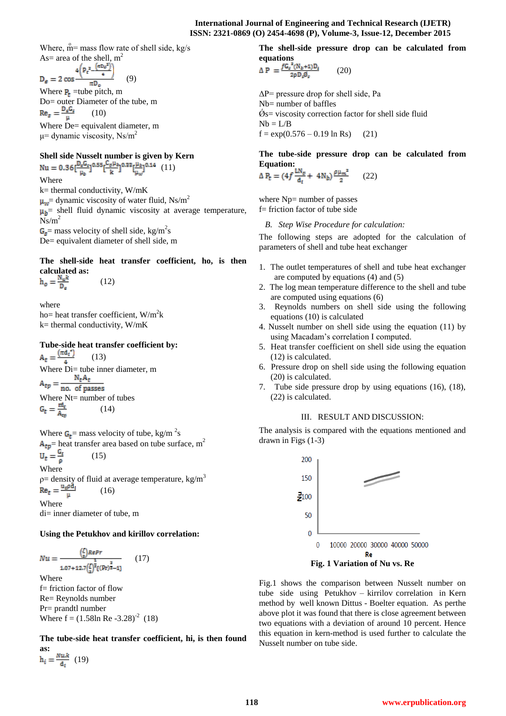Where,  $\mathring{m}$  mass flow rate of shell side, kg/s As= area of the shell,  $m^2$ 

$$
D_{\varepsilon} = 2 \cos \frac{4 \left( P_{\varepsilon}^2 - \frac{\left( \pi D_{\varepsilon}^2 \right)^2}{4} \right)}{\pi D_{\varepsilon}} \qquad (9)
$$

Where  $P_t$  =tube pitch, m Do= outer Diameter of the tube, m  $\text{Re}_s = \frac{\text{D}_s\text{G}_s}{\mu}$ (10) Where De= equivalent diameter, m  $\mu$  = dynamic viscosity, Ns/m<sup>2</sup>

# **Shell side Nusselt number is given by Kern**

Nu =  $0.36 \left[ \frac{D_a G_s}{\mu_h} \right]^{0.55} \left[ \frac{C_p \mu_b}{k} \right]^{0.33} \left[ \frac{\mu_b}{\mu_w} \right]^{0.14}$  (11) Where

k= thermal conductivity, W/mK  $\mu_w$  = dynamic viscosity of water fluid, Ns/m<sup>2</sup>  $\mu_b$  = shell fluid dynamic viscosity at average temperature,  $Ns/m^2$  $=$  mass velocity of shell side, kg/m<sup>2</sup>s

De= equivalent diameter of shell side, m

# **The shell-side heat transfer coefficient, ho, is then calculated as:**

$$
h_o = \frac{N_u k}{D_a} \tag{12}
$$

where ho= heat transfer coefficient,  $W/m^2k$  $k=$  thermal conductivity,  $W/mK$ 

**Tube-side heat transfer coefficient by:**<br> $A_t = \frac{(\pi d_t^4)}{4}$  (13) (13) Where Di= tube inner diameter, m<br>  $A_{tp} = \frac{N_t A_t}{no. of passes}$ Where Nt= number of tubes<br>  $G_t = \frac{m_t}{A_{\text{res}}}$  (14) (14)

Where  $G_t$  = mass velocity of tube, kg/m<sup>2</sup>s  $A_{tp}$  = heat transfer area based on tube surface, m<sup>2</sup><br>U<sub>t</sub> =  $\frac{G_f}{\rho}$  (15) (15) Where ρ= density of fluid at average temperature, kg/m<sup>3</sup><br>
Re<sub>t</sub> =  $\frac{u_t \rho d_t}{r}$  (16) (16)

Where di= inner diameter of tube, m

# **Using the Petukhov and kirillov correlation:**

$$
Nu = \frac{\left(\frac{I}{x}\right)RePr}{1.07 + 12.7\left(\frac{I}{x}\right)^{\frac{1}{2}}(Pr)^{\frac{2}{3}} - 1}\tag{17}
$$

Where f= friction factor of flow Re= Reynolds number Pr= prandtl number Where  $f = (1.58 \text{ln} \text{Re } -3.28)^{-2}$  (18)

**The tube-side heat transfer coefficient, hi, is then found as:**

(19)

**The shell-side pressure drop can be calculated from equations**

$$
\Delta P = \frac{f G_s^2 (N_b + 1) D_s}{2 \rho D_s \vec{\theta}_s} \tag{20}
$$

 $\Delta P$  pressure drop for shell side, Pa Nb= number of baffles  $\mathcal{O}_s$ = viscosity correction factor for shell side fluid  $Nb = L/B$  $f = \exp(0.576 - 0.19 \ln \text{Rs})$  (21)

**The tube-side pressure drop can be calculated from Equation:**

$$
\Delta P_t = (4f \frac{LN_p}{d_t} + 4N_b) \frac{\rho \mu_m^2}{2} \qquad (22)
$$

where Np= number of passes f= friction factor of tube side

*B. Step Wise Procedure for calculation:*

The following steps are adopted for the calculation of parameters of shell and tube heat exchanger

- 1. The outlet temperatures of shell and tube heat exchanger are computed by equations (4) and (5)
- 2. The log mean temperature difference to the shell and tube are computed using equations (6)
- 3. Reynolds numbers on shell side using the following equations (10) is calculated
- 4. Nusselt number on shell side using the equation (11) by using Macadam's correlation I computed.
- 5. Heat transfer coefficient on shell side using the equation (12) is calculated.
- 6. Pressure drop on shell side using the following equation (20) is calculated.
- 7. Tube side pressure drop by using equations (16), (18), (22) is calculated.

# III. RESULT AND DISCUSSION:

The analysis is compared with the equations mentioned and drawn in Figs (1-3)



**Fig. 1 Variation of Nu vs. Re**

Fig.1 shows the comparison between Nusselt number on tube side using Petukhov – kirrilov correlation in Kern method by well known Dittus - Boelter equation. As perthe above plot it was found that there is close agreement between two equations with a deviation of around 10 percent. Hence this equation in kern-method is used further to calculate the Nusselt number on tube side.